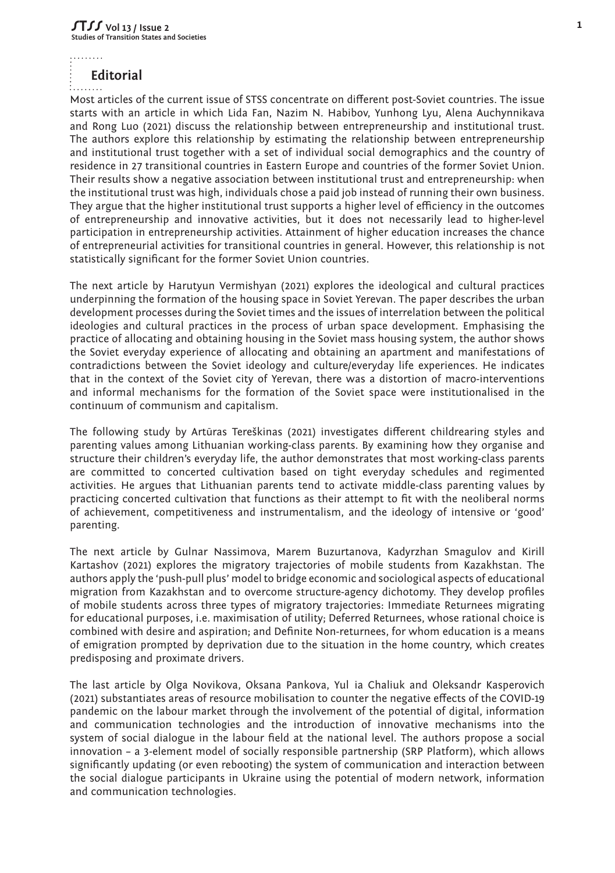. . . . . . . . .

## **Editorial**

Most articles of the current issue of STSS concentrate on different post-Soviet countries. The issue starts with an article in which Lida Fan, Nazim N. Habibov, Yunhong Lyu, Alena Auchynnikava and Rong Luo (2021) discuss the relationship between entrepreneurship and institutional trust. The authors explore this relationship by estimating the relationship between entrepreneurship and institutional trust together with a set of individual social demographics and the country of residence in 27 transitional countries in Eastern Europe and countries of the former Soviet Union. Their results show a negative association between institutional trust and entrepreneurship: when the institutional trust was high, individuals chose a paid job instead of running their own business. They argue that the higher institutional trust supports a higher level of efficiency in the outcomes of entrepreneurship and innovative activities, but it does not necessarily lead to higher-level participation in entrepreneurship activities. Attainment of higher education increases the chance of entrepreneurial activities for transitional countries in general. However, this relationship is not statistically significant for the former Soviet Union countries.

The next article by Harutyun Vermishyan (2021) explores the ideological and cultural practices underpinning the formation of the housing space in Soviet Yerevan. The paper describes the urban development processes during the Soviet times and the issues of interrelation between the political ideologies and cultural practices in the process of urban space development. Emphasising the practice of allocating and obtaining housing in the Soviet mass housing system, the author shows the Soviet everyday experience of allocating and obtaining an apartment and manifestations of contradictions between the Soviet ideology and culture/everyday life experiences. He indicates that in the context of the Soviet city of Yerevan, there was a distortion of macro-interventions and informal mechanisms for the formation of the Soviet space were institutionalised in the continuum of communism and capitalism.

The following study by Artūras Tereškinas (2021) investigates different childrearing styles and parenting values among Lithuanian working-class parents. By examining how they organise and structure their children's everyday life, the author demonstrates that most working-class parents are committed to concerted cultivation based on tight everyday schedules and regimented activities. He argues that Lithuanian parents tend to activate middle-class parenting values by practicing concerted cultivation that functions as their attempt to fit with the neoliberal norms of achievement, competitiveness and instrumentalism, and the ideology of intensive or 'good' parenting.

The next article by Gulnar Nassimova, Marem Buzurtanova, Kadyrzhan Smagulov and Kirill Kartashov (2021) explores the migratory trajectories of mobile students from Kazakhstan. The authors apply the 'push-pull plus' model to bridge economic and sociological aspects of educational migration from Kazakhstan and to overcome structure-agency dichotomy. They develop profiles of mobile students across three types of migratory trajectories: Immediate Returnees migrating for educational purposes, i.e. maximisation of utility; Deferred Returnees, whose rational choice is combined with desire and aspiration; and Definite Non-returnees, for whom education is a means of emigration prompted by deprivation due to the situation in the home country, which creates predisposing and proximate drivers.

The last article by Olga Novikova, Oksana Pankova, Yul ia Chaliuk and Oleksandr Kasperovich (2021) substantiates areas of resource mobilisation to counter the negative effects of the COVID-19 pandemic оn the labour market through the involvement of the potential of digital, information and communication technologies and the introduction of innovative mechanisms into the system of social dialogue in the labour field at the national level. The authors propose a social innovation – a 3-element model of socially responsible partnership (SRP Platform), which allows significantly updating (or even rebooting) the system of communication and interaction between the social dialogue participants in Ukraine using the potential of modern network, information and communication technologies.